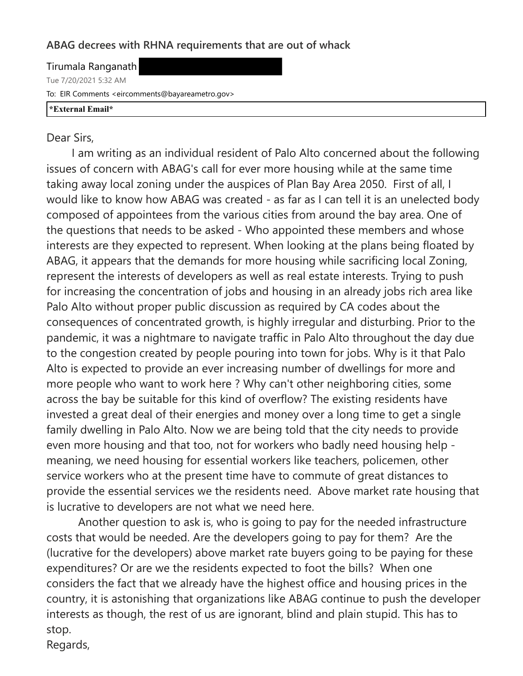## **ABAG decrees with RHNA requirements that are out of whack**

Tirumala Ranganath Tue 7/20/2021 5:32 AM To: EIR Comments <eircomments@bayareametro.gov> **\*External Email\***

## Dear Sirs,

 I am writing as an individual resident of Palo Alto concerned about the following issues of concern with ABAG's call for ever more housing while at the same time taking away local zoning under the auspices of Plan Bay Area 2050. First of all, I would like to know how ABAG was created - as far as I can tell it is an unelected body composed of appointees from the various cities from around the bay area. One of the questions that needs to be asked - Who appointed these members and whose interests are they expected to represent. When looking at the plans being floated by ABAG, it appears that the demands for more housing while sacrificing local Zoning, represent the interests of developers as well as real estate interests. Trying to push for increasing the concentration of jobs and housing in an already jobs rich area like Palo Alto without proper public discussion as required by CA codes about the consequences of concentrated growth, is highly irregular and disturbing. Prior to the pandemic, it was a nightmare to navigate traffic in Palo Alto throughout the day due to the congestion created by people pouring into town for jobs. Why is it that Palo Alto is expected to provide an ever increasing number of dwellings for more and more people who want to work here ? Why can't other neighboring cities, some across the bay be suitable for this kind of overflow? The existing residents have invested a great deal of their energies and money over a long time to get a single family dwelling in Palo Alto. Now we are being told that the city needs to provide even more housing and that too, not for workers who badly need housing help meaning, we need housing for essential workers like teachers, policemen, other service workers who at the present time have to commute of great distances to provide the essential services we the residents need. Above market rate housing that is lucrative to developers are not what we need here.

 Another question to ask is, who is going to pay for the needed infrastructure costs that would be needed. Are the developers going to pay for them? Are the (lucrative for the developers) above market rate buyers going to be paying for these expenditures? Or are we the residents expected to foot the bills? When one considers the fact that we already have the highest office and housing prices in the country, it is astonishing that organizations like ABAG continue to push the developer interests as though, the rest of us are ignorant, blind and plain stupid. This has to stop.

Regards,